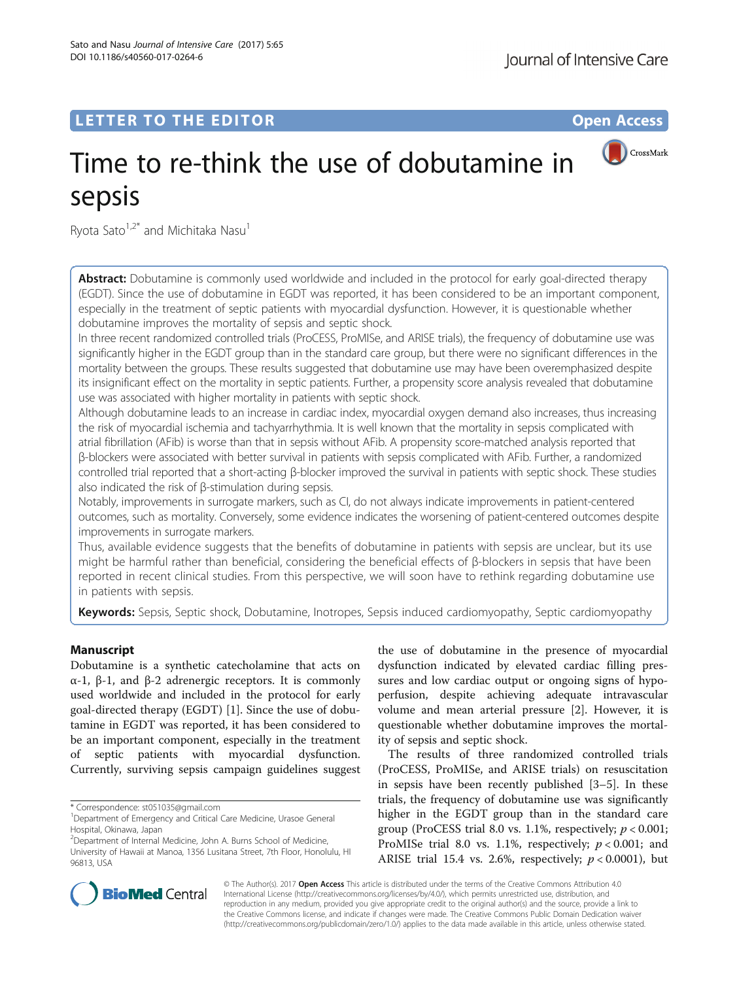## LETTER TO THE EDITOR **CONSIDERING A CONSIDERATION**



# Time to re-think the use of dobutamine in sepsis

Ryota Sato $1,2^*$  and Michitaka Nasu<sup>1</sup>

Abstract: Dobutamine is commonly used worldwide and included in the protocol for early goal-directed therapy (EGDT). Since the use of dobutamine in EGDT was reported, it has been considered to be an important component, especially in the treatment of septic patients with myocardial dysfunction. However, it is questionable whether dobutamine improves the mortality of sepsis and septic shock.

In three recent randomized controlled trials (ProCESS, ProMISe, and ARISE trials), the frequency of dobutamine use was significantly higher in the EGDT group than in the standard care group, but there were no significant differences in the mortality between the groups. These results suggested that dobutamine use may have been overemphasized despite its insignificant effect on the mortality in septic patients. Further, a propensity score analysis revealed that dobutamine use was associated with higher mortality in patients with septic shock.

Although dobutamine leads to an increase in cardiac index, myocardial oxygen demand also increases, thus increasing the risk of myocardial ischemia and tachyarrhythmia. It is well known that the mortality in sepsis complicated with atrial fibrillation (AFib) is worse than that in sepsis without AFib. A propensity score-matched analysis reported that β-blockers were associated with better survival in patients with sepsis complicated with AFib. Further, a randomized controlled trial reported that a short-acting β-blocker improved the survival in patients with septic shock. These studies also indicated the risk of β-stimulation during sepsis.

Notably, improvements in surrogate markers, such as CI, do not always indicate improvements in patient-centered outcomes, such as mortality. Conversely, some evidence indicates the worsening of patient-centered outcomes despite improvements in surrogate markers.

Thus, available evidence suggests that the benefits of dobutamine in patients with sepsis are unclear, but its use might be harmful rather than beneficial, considering the beneficial effects of β-blockers in sepsis that have been reported in recent clinical studies. From this perspective, we will soon have to rethink regarding dobutamine use in patients with sepsis.

Keywords: Sepsis, Septic shock, Dobutamine, Inotropes, Sepsis induced cardiomyopathy, Septic cardiomyopathy

## Manuscript

Dobutamine is a synthetic catecholamine that acts on α-1, β-1, and β-2 adrenergic receptors. It is commonly used worldwide and included in the protocol for early goal-directed therapy (EGDT) [\[1](#page-1-0)]. Since the use of dobutamine in EGDT was reported, it has been considered to be an important component, especially in the treatment of septic patients with myocardial dysfunction. Currently, surviving sepsis campaign guidelines suggest

the use of dobutamine in the presence of myocardial dysfunction indicated by elevated cardiac filling pressures and low cardiac output or ongoing signs of hypoperfusion, despite achieving adequate intravascular volume and mean arterial pressure [\[2](#page-1-0)]. However, it is questionable whether dobutamine improves the mortality of sepsis and septic shock.

The results of three randomized controlled trials (ProCESS, ProMISe, and ARISE trials) on resuscitation in sepsis have been recently published [\[3](#page-2-0)–[5\]](#page-2-0). In these trials, the frequency of dobutamine use was significantly higher in the EGDT group than in the standard care group (ProCESS trial 8.0 vs. 1.1%, respectively;  $p < 0.001$ ; ProMISe trial 8.0 vs. 1.1%, respectively;  $p < 0.001$ ; and ARISE trial 15.4 vs. 2.6%, respectively;  $p < 0.0001$ ), but



© The Author(s). 2017 **Open Access** This article is distributed under the terms of the Creative Commons Attribution 4.0 International License [\(http://creativecommons.org/licenses/by/4.0/](http://creativecommons.org/licenses/by/4.0/)), which permits unrestricted use, distribution, and reproduction in any medium, provided you give appropriate credit to the original author(s) and the source, provide a link to the Creative Commons license, and indicate if changes were made. The Creative Commons Public Domain Dedication waiver [\(http://creativecommons.org/publicdomain/zero/1.0/](http://creativecommons.org/publicdomain/zero/1.0/)) applies to the data made available in this article, unless otherwise stated.

<sup>\*</sup> Correspondence: [st051035@gmail.com](mailto:st051035@gmail.com) <sup>1</sup>

<sup>&</sup>lt;sup>1</sup>Department of Emergency and Critical Care Medicine, Urasoe General Hospital, Okinawa, Japan

<sup>&</sup>lt;sup>2</sup> Department of Internal Medicine, John A. Burns School of Medicine, University of Hawaii at Manoa, 1356 Lusitana Street, 7th Floor, Honolulu, HI 96813, USA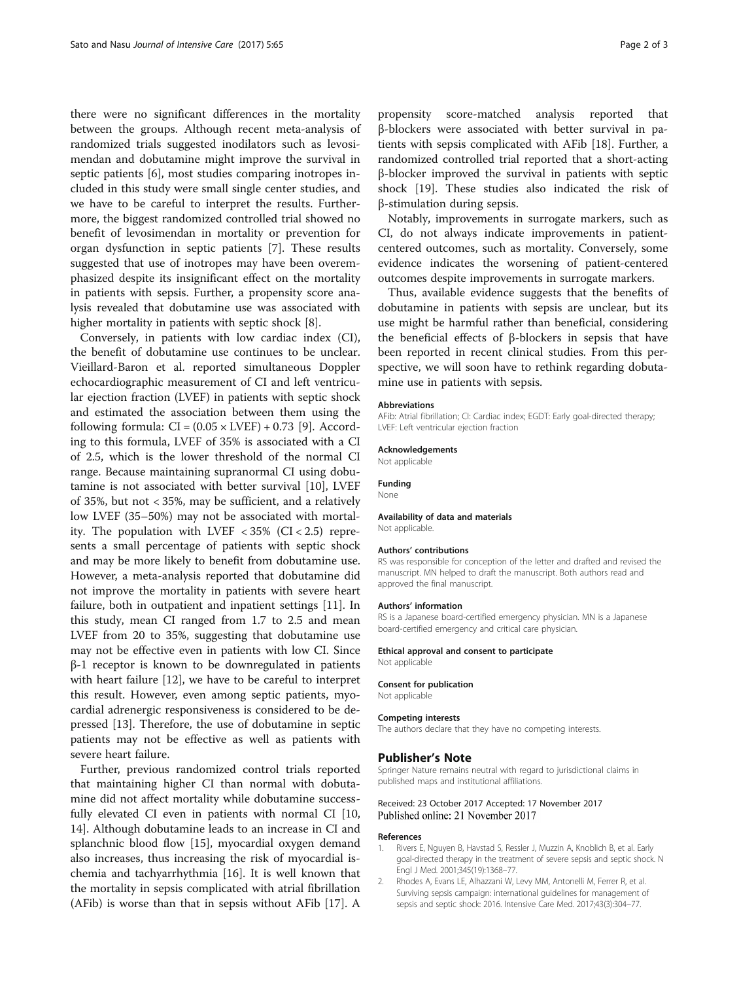<span id="page-1-0"></span>there were no significant differences in the mortality between the groups. Although recent meta-analysis of randomized trials suggested inodilators such as levosimendan and dobutamine might improve the survival in septic patients [[6\]](#page-2-0), most studies comparing inotropes included in this study were small single center studies, and we have to be careful to interpret the results. Furthermore, the biggest randomized controlled trial showed no benefit of levosimendan in mortality or prevention for organ dysfunction in septic patients [\[7](#page-2-0)]. These results suggested that use of inotropes may have been overemphasized despite its insignificant effect on the mortality in patients with sepsis. Further, a propensity score analysis revealed that dobutamine use was associated with higher mortality in patients with septic shock [[8\]](#page-2-0).

Conversely, in patients with low cardiac index (CI), the benefit of dobutamine use continues to be unclear. Vieillard-Baron et al. reported simultaneous Doppler echocardiographic measurement of CI and left ventricular ejection fraction (LVEF) in patients with septic shock and estimated the association between them using the following formula:  $CI = (0.05 \times LVEF) + 0.73$  [[9\]](#page-2-0). According to this formula, LVEF of 35% is associated with a CI of 2.5, which is the lower threshold of the normal CI range. Because maintaining supranormal CI using dobutamine is not associated with better survival [\[10](#page-2-0)], LVEF of 35%, but not < 35%, may be sufficient, and a relatively low LVEF (35–50%) may not be associated with mortality. The population with LVEF  $<$  35% (CI $<$  2.5) represents a small percentage of patients with septic shock and may be more likely to benefit from dobutamine use. However, a meta-analysis reported that dobutamine did not improve the mortality in patients with severe heart failure, both in outpatient and inpatient settings [\[11](#page-2-0)]. In this study, mean CI ranged from 1.7 to 2.5 and mean LVEF from 20 to 35%, suggesting that dobutamine use may not be effective even in patients with low CI. Since β-1 receptor is known to be downregulated in patients with heart failure [\[12\]](#page-2-0), we have to be careful to interpret this result. However, even among septic patients, myocardial adrenergic responsiveness is considered to be depressed [[13\]](#page-2-0). Therefore, the use of dobutamine in septic patients may not be effective as well as patients with severe heart failure.

Further, previous randomized control trials reported that maintaining higher CI than normal with dobutamine did not affect mortality while dobutamine success-fully elevated CI even in patients with normal CI [[10](#page-2-0), [14\]](#page-2-0). Although dobutamine leads to an increase in CI and splanchnic blood flow [\[15](#page-2-0)], myocardial oxygen demand also increases, thus increasing the risk of myocardial ischemia and tachyarrhythmia [[16\]](#page-2-0). It is well known that the mortality in sepsis complicated with atrial fibrillation (AFib) is worse than that in sepsis without AFib [[17\]](#page-2-0). A propensity score-matched analysis reported that β-blockers were associated with better survival in patients with sepsis complicated with AFib [[18\]](#page-2-0). Further, a randomized controlled trial reported that a short-acting β-blocker improved the survival in patients with septic shock [[19\]](#page-2-0). These studies also indicated the risk of β-stimulation during sepsis.

Notably, improvements in surrogate markers, such as CI, do not always indicate improvements in patientcentered outcomes, such as mortality. Conversely, some evidence indicates the worsening of patient-centered outcomes despite improvements in surrogate markers.

Thus, available evidence suggests that the benefits of dobutamine in patients with sepsis are unclear, but its use might be harmful rather than beneficial, considering the beneficial effects of β-blockers in sepsis that have been reported in recent clinical studies. From this perspective, we will soon have to rethink regarding dobutamine use in patients with sepsis.

#### Abbreviations

AFib: Atrial fibrillation; CI: Cardiac index; EGDT: Early goal-directed therapy; LVEF: Left ventricular ejection fraction

### Acknowledgements

Not applicable

#### Funding

None

#### Availability of data and materials Not applicable.

#### Authors' contributions

RS was responsible for conception of the letter and drafted and revised the manuscript. MN helped to draft the manuscript. Both authors read and approved the final manuscript.

#### Authors' information

RS is a Japanese board-certified emergency physician. MN is a Japanese board-certified emergency and critical care physician.

#### Ethical approval and consent to participate

Not applicable

#### Consent for publication

Not applicable

#### Competing interests

The authors declare that they have no competing interests.

#### Publisher's Note

Springer Nature remains neutral with regard to jurisdictional claims in published maps and institutional affiliations.

#### Received: 23 October 2017 Accepted: 17 November 2017 Published online: 21 November 2017

#### References

- 1. Rivers E, Nguyen B, Havstad S, Ressler J, Muzzin A, Knoblich B, et al. Early goal-directed therapy in the treatment of severe sepsis and septic shock. N Engl J Med. 2001;345(19):1368–77.
- 2. Rhodes A, Evans LE, Alhazzani W, Levy MM, Antonelli M, Ferrer R, et al. Surviving sepsis campaign: international guidelines for management of sepsis and septic shock: 2016. Intensive Care Med. 2017;43(3):304–77.